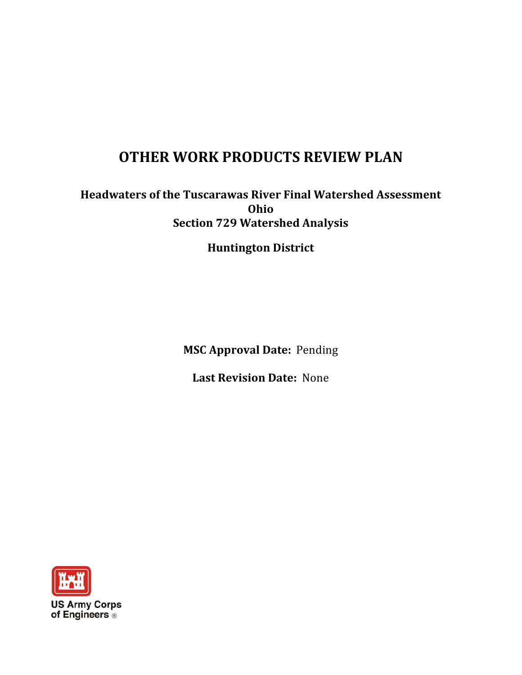### **WORK PRODUCTS REVIEW PLAN**

# of the Tuscarawas River Final Watershed Assessment **729 Watershed Analysis** Ohio **OTHER WORK PRODUCTS REVIEW PLAN**<br>Headwaters of the Tuscarawas River Final Watershed Assessment<br>Ohio<br>Section 729 Watershed Analysis<br>Huntington District<br>MSC Approval Date: Pending

District

**Approval Date: Pending** 

 **Last Revision Date:** None

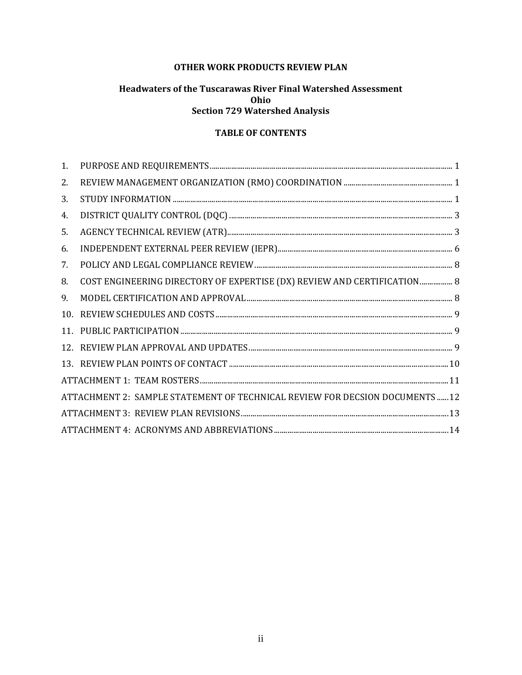#### **OTHER WORK PRODUCTS REVIEW PLAN**

#### **Headwaters of the Tuscarawas River Final Watershed Assessment** Ohio **Section 729 Watershed Analysis**

#### **TABLE OF CONTENTS**

| 1.              | $\verb PURPOSE AND REGUIREMENTS\hspace*{-0.1cm}\hspace*{-0.1cm}1$            |  |
|-----------------|------------------------------------------------------------------------------|--|
| 2.              |                                                                              |  |
| 3.              |                                                                              |  |
| 4.              |                                                                              |  |
| 5.              |                                                                              |  |
| 6.              |                                                                              |  |
| 7.              |                                                                              |  |
| 8.              | COST ENGINEERING DIRECTORY OF EXPERTISE (DX) REVIEW AND CERTIFICATION 8      |  |
| 9.              | $\textbf{MODEL} \text{ CERTIFICATION} \text{AND} \text{APPROVAL} \text{}$    |  |
| 10.             |                                                                              |  |
| 11.             |                                                                              |  |
| 12 <sub>1</sub> |                                                                              |  |
|                 |                                                                              |  |
|                 |                                                                              |  |
|                 | ATTACHMENT 2: SAMPLE STATEMENT OF TECHNICAL REVIEW FOR DECSION DOCUMENTS  12 |  |
|                 |                                                                              |  |
|                 |                                                                              |  |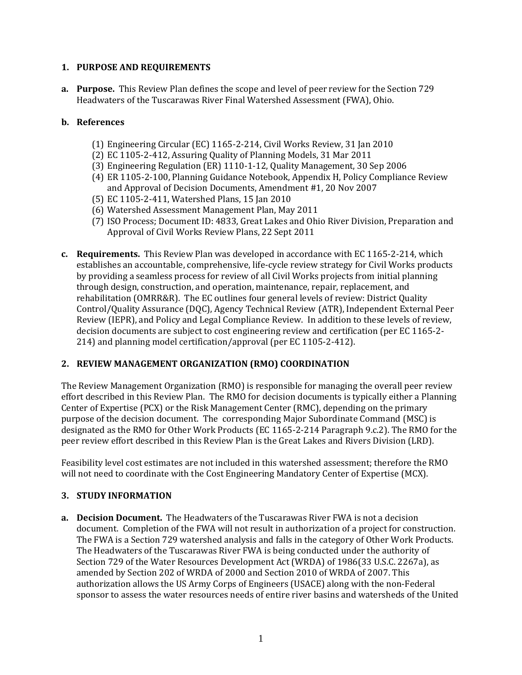#### <span id="page-2-0"></span> **1.PURPOSE AND REQUIREMENTS**

**a.** Purpose. This Review Plan defines the scope and level of peer review for the Section 729 Headwaters of the Tuscarawas River Final Watershed Assessment (FWA), Ohio.

#### **b.References**

- (1) Engineering Circular (EC) 1165-2-214, Civil Works Review, 31 Jan 2010
- (2) EC 1105-2-412, Assuring Quality of Planning Models, 31 Mar 2011
- (3) Engineering Regulation  $(ER)$  1110-1-12, Quality Management, 30 Sep 2006
- (4) ER 1105-2-100, Planning Guidance Notebook, Appendix H, Policy Compliance Review and Approval of Decision Documents, Amendment #1, 20 Nov 2007
- (5) EC 1105‐2‐411, Watershed Plans, 15 Jan 2010
- (6) Watershed Assessment Management Plan, May 2011
- Approval of Civil Works Review Plans, 22 Sept 2011 (7) ISO Process; Document ID: 4833, Great Lakes and Ohio River Division, Preparation and
- **c.** Requirements. This Review Plan was developed in accordance with EC 1165-2-214, which establishes an accountable, comprehensive, life-cycle review strategy for Civil Works products rehabilitation (OMRR&R). The EC outlines four general levels of review: District Quality Control/Quality Assurance (DQC), Agency Technical Review (ATR), Independent External Peer Review (IEPR), and Policy and Legal Compliance Review. In addition to these levels of review, decision documents are subject to cost engineering review and certification (per EC 1165-2by providing a seamless process for review of all Civil Works projects from initial planning through design, construction, and operation, maintenance, repair, replacement, and 214) and planning model certification/approval (per EC 1105-2-412).

#### **2.REVIEW MANAGEMENT ORGANIZATION (RMO) COORDINATION**

The Review Management Organization (RMO) is responsible for managing the overall peer review Center of Expertise (PCX) or the Risk Management Center (RMC), depending on the primary designated as the RMO for Other Work Products (EC 1165-2-214 Paragraph 9.c.2). The RMO for the peer review effort described in this Review Plan is the Great Lakes and Rivers Division (LRD). effort described in this Review Plan. The RMO for decision documents is typically either a Planning purpose of the decision document. The corresponding Major Subordinate Command (MSC) is

Feasibility level cost estimates are not included in this watershed assessment; therefore the RMO will not need to coordinate with the Cost Engineering Mandatory Center of Expertise (MCX).

#### **3.STUDY INFORMATION**

a. Decision Document. The Headwaters of the Tuscarawas River FWA is not a decision The FWA is a Section 729 watershed analysis and falls in the category of Other Work Products. The Headwaters of the Tuscarawas River FWA is being conducted under the authority of document. Completion of the FWA will not result in authorization of a project for construction. amended by Section 202 of WRDA of 2000 and Section 2010 of WRDA of 2007. This authorization allows the US Army Corps of Engineers (USACE) along with the non-Federal Section 729 of the Water Resources Development Act (WRDA) of 1986(33 U.S.C. 2267a), as sponsor to assess the water resources needs of entire river basins and watersheds of the United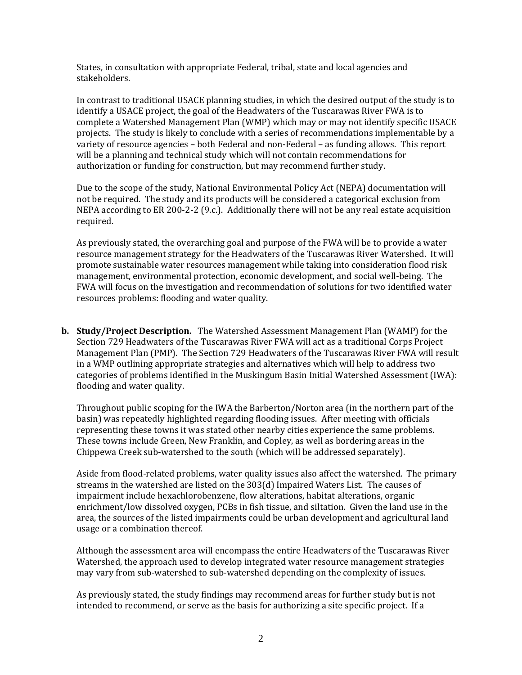States, in consultation with appropriate Federal, tribal, state and local agencies and States, in consultation with appropriate Federal, tribal, state and local agencies and<br>stakeholders.<br>In contrast to traditional USACE planning studies, in which the desired output of the study is to

identify a USACE project, the goal of the Headwaters of the Tuscarawas River FWA is to complete a Watershed Management Plan (WMP) which may or may not identify specific USACE variety of resource agencies - both Federal and non-Federal - as funding allows. This report will be a planning and technical study which will not contain recommendations for projects. The study is likely to conclude with a series of recommendations implementable by a authorization or funding for construction, but may recommend further study.

Due to the scope of the study, National Environmental Policy Act (NEPA) documentation will not be required. The study and its products will be considered a categorical exclusion from NEPA according to ER 200-2-2 (9.c.). Additionally there will not be any real estate acquisition required. 

As previously stated, the overarching goal and purpose of the FWA will be to provide a water resource management strategy for the Headwaters of the Tuscarawas River Watershed. It will promote sustainable water resources management while taking into consideration flood risk management, environmental protection, economic development, and social well-being. The FWA will focus on the investigation and recommendation of solutions for two identified water resources problems: flooding and water quality.

**b.** Study/Project Description. The Watershed Assessment Management Plan (WAMP) for the Management Plan (PMP). The Section 729 Headwaters of the Tuscarawas River FWA will result Section 729 Headwaters of the Tuscarawas River FWA will act as a traditional Corps Project in a WMP outlining appropriate strategies and alternatives which will help to address two categories of problems identified in the Muskingum Basin Initial Watershed Assessment (IWA): flooding and water quality.

Throughout public scoping for the IWA the Barberton/Norton area (in the northern part of the basin) was repeatedly highlighted regarding flooding issues. After meeting with officials representing these towns it was stated other nearby cities experience the same problems. These towns include Green, New Franklin, and Copley, as well as bordering areas in the Chippewa Creek sub-watershed to the south (which will be addressed separately).

Aside from flood-related problems, water quality issues also affect the watershed. The primary streams in the watershed are listed on the 303(d) Impaired Waters List. The causes of enrichment/low dissolved oxygen, PCBs in fish tissue, and siltation. Given the land use in the usage or a combination thereof. impairment include hexachlorobenzene, flow alterations, habitat alterations, organic area, the sources of the listed impairments could be urban development and agricultural land

may vary from sub-watershed to sub-watershed depending on the complexity of issues. Watershed, the approach used to develop integrated water resource management strategies Although the assessment area will encompass the entire Headwaters of the Tuscarawas River

intended to recommend, or serve as the basis for authorizing a site specific project. If a As previously stated, the study findings may recommend areas for further study but is not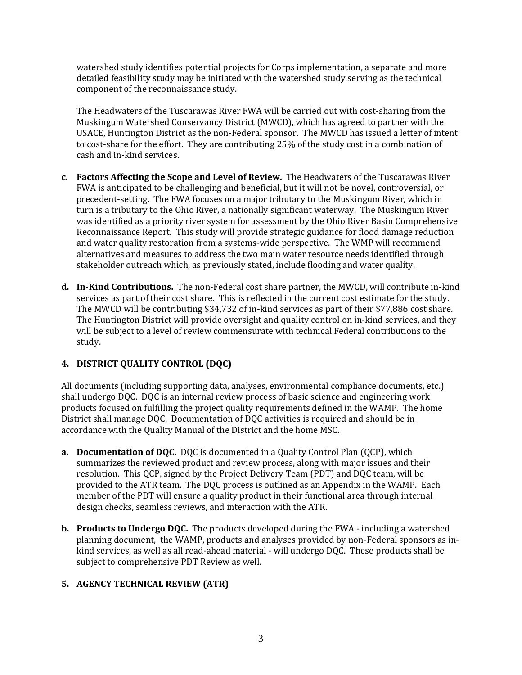<span id="page-4-0"></span>watershed study identifies potential projects for Corps implementation, a separate and more detailed feasibility study may be initiated with the watershed study serving as the technical component of the reconnaissance study.

USACE, Huntington District as the non-Federal sponsor. The MWCD has issued a letter of intent to cost-share for the effort. They are contributing 25% of the study cost in a combination of The Headwaters of the Tuscarawas River FWA will be carried out with cost-sharing from the Muskingum Watershed Conservancy District (MWCD), which has agreed to partner with the cash and in-kind services.

- **c.** Factors Affecting the Scope and Level of Review. The Headwaters of the Tuscarawas River precedent-setting. The FWA focuses on a major tributary to the Muskingum River, which in turn is a tributary to the Ohio River, a nationally significant waterway. The Muskingum River and water quality restoration from a systems-wide perspective. The WMP will recommend alternatives and measures to address the two main water resource needs identified through FWA is anticipated to be challenging and beneficial, but it will not be novel, controversial, or was identified as a priority river system for assessment by the Ohio River Basin Comprehensive Reconnaissance Report. This study will provide strategic guidance for flood damage reduction stakeholder outreach which, as previously stated, include flooding and water quality.
- **d.** In-Kind Contributions. The non-Federal cost share partner, the MWCD, will contribute in-kind The MWCD will be contributing \$34,732 of in-kind services as part of their \$77,886 cost share. services as part of their cost share. This is reflected in the current cost estimate for the study. The Huntington District will provide oversight and quality control on in-kind services, and they will be subject to a level of review commensurate with technical Federal contributions to the study.

#### **4.DISTRICT QUALITY CONTROL (DQC)**

products focused on fulfilling the project quality requirements defined in the WAMP. The home District shall manage DQC. Documentation of DQC activities is required and should be in accordance with the Quality Manual of the District and the home MSC. All documents (including supporting data, analyses, environmental compliance documents, etc.) shall undergo DQC. DQC is an internal review process of basic science and engineering work

- **a.** Documentation of DQC. DQC is documented in a Quality Control Plan (QCP), which resolution. This QCP, signed by the Project Delivery Team (PDT) and DQC team, will be provided to the ATR team. The DQC process is outlined as an Appendix in the WAMP. Each member of the PDT will ensure a quality product in their functional area through internal design checks, seamless reviews, and interaction with the ATR. summarizes the reviewed product and review process, along with major issues and their
- **b.** Products to Undergo DQC. The products developed during the FWA including a watershed kind services, as well as all read-ahead material - will undergo DQC. These products shall be subject to comprehensive PDT Review as well. planning document, the WAMP, products and analyses provided by non-Federal sponsors as in-

#### **5. AGENCY TECHNICAL REVIEW (ATR)**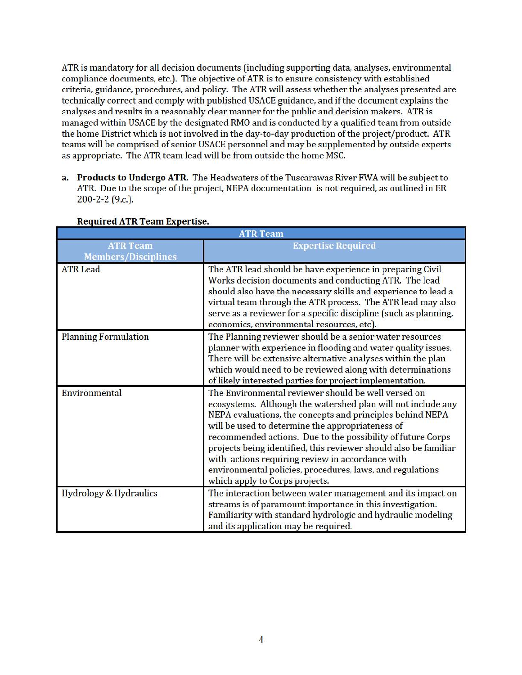ATR is mandatory for all decision documents (including supporting data, analyses, environmental compliance documents, etc.). The objective ofATR is to ensure consistency with established criteria, guidance, procedures, and policy. The ATR will assess whether the analyses presented are technically correct and comply with published USACE guidance, and if the document explains the analyses and results in a reasonably clear manner for the public and decision makers. ATR is managed within USACE by the designated RMO and is conducted by a qualified team from outside the home District which is not involved in the day-to-day production of the project/product. ATR teams will be comprised of senior USACE personnel and may be supplemented by outside experts as appropriate. The ATR team lead will be from outside the home MSC.

a. Products to Undergo ATR. The Headwaters of the Tuscarawas River FWA will be subject to ATR. Due to the scope of the project, NEPA documentation is not required, as outlined in ER 200-2-2 (9.c.).

| <b>Required ATR Team Expertise.</b>           |                                                                                                                                                                                                                                                                                                                                                                                                                                                                                                                            |  |  |  |
|-----------------------------------------------|----------------------------------------------------------------------------------------------------------------------------------------------------------------------------------------------------------------------------------------------------------------------------------------------------------------------------------------------------------------------------------------------------------------------------------------------------------------------------------------------------------------------------|--|--|--|
|                                               | <b>ATR Team</b>                                                                                                                                                                                                                                                                                                                                                                                                                                                                                                            |  |  |  |
| <b>ATR Team</b><br><b>Members/Disciplines</b> | <b>Expertise Required</b>                                                                                                                                                                                                                                                                                                                                                                                                                                                                                                  |  |  |  |
| <b>ATR Lead</b>                               | The ATR lead should be have experience in preparing Civil<br>Works decision documents and conducting ATR. The lead<br>should also have the necessary skills and experience to lead a<br>virtual team through the ATR process. The ATR lead may also<br>serve as a reviewer for a specific discipline (such as planning,<br>economics, environmental resources, etc).                                                                                                                                                       |  |  |  |
| <b>Planning Formulation</b>                   | The Planning reviewer should be a senior water resources<br>planner with experience in flooding and water quality issues.<br>There will be extensive alternative analyses within the plan<br>which would need to be reviewed along with determinations<br>of likely interested parties for project implementation.                                                                                                                                                                                                         |  |  |  |
| Environmental                                 | The Environmental reviewer should be well versed on<br>ecosystems. Although the watershed plan will not include any<br>NEPA evaluations, the concepts and principles behind NEPA<br>will be used to determine the appropriateness of<br>recommended actions. Due to the possibility of future Corps<br>projects being identified, this reviewer should also be familiar<br>with actions requiring review in accordance with<br>environmental policies, procedures, laws, and regulations<br>which apply to Corps projects. |  |  |  |
| Hydrology & Hydraulics                        | The interaction between water management and its impact on<br>streams is of paramount importance in this investigation.<br>Familiarity with standard hydrologic and hydraulic modeling<br>and its application may be required.                                                                                                                                                                                                                                                                                             |  |  |  |

#### Required ATR Team Expertise.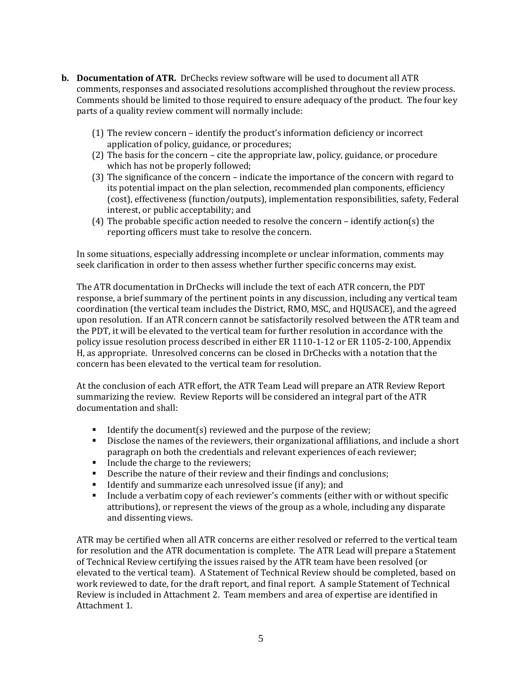- **b.** Documentation of ATR. DrChecks review software will be used to document all ATR comments, responses and associated resolutions accomplished throughout the review process. Comments should be limited to those required to ensure adequacy of the product. The four key parts of a quality review comment will normally include:
	- $(1)$  The review concern identify the product's information deficiency or incorrect application of policy, guidance, or procedures;
	- $(2)$  The basis for the concern cite the appropriate law, policy, guidance, or procedure which has not be properly followed;
	- (3) The significance of the concern indicate the importance of the concern with regard to its potential impact on the plan selection, recommended plan components, efficiency (cost), effectiveness (function/outputs), implementation responsibilities, safety, Federal interest, or public acceptability; and
	- (4) The probable specific action needed to resolve the concern identify action(s) the reporting officers must take to resolve the concern.

seek clarification in order to then assess whether further specific concerns may exist. In some situations, especially addressing incomplete or unclear information, comments may

The ATR documentation in DrChecks will include the text of each ATR concern, the PDT upon resolution. If an ATR concern cannot be satisfactorily resolved between the ATR team and policy issue resolution process described in either ER 1110-1-12 or ER 1105-2-100, Appendix response, a brief summary of the pertinent points in any discussion, including any vertical team coordination (the vertical team includes the District, RMO, MSC, and HQUSACE), and the agreed the PDT, it will be elevated to the vertical team for further resolution in accordance with the H, as appropriate. Unresolved concerns can be closed in DrChecks with a notation that the concern has been elevated to the vertical team for resolution.

At the conclusion of each ATR effort, the ATR Team Lead will prepare an ATR Review Report summarizing the review. Review Reports will be considered an integral part of the ATR documentation and shall:

- Identify the document(s) reviewed and the purpose of the review;
- paragraph on both the credentials and relevant experiences of each reviewer; **Disclose** the names of the reviewers, their organizational affiliations, and include a short
- $\blacksquare$  Include the charge to the reviewers;
- **Describe the nature of their review and their findings and conclusions;**
- **If Luident** If yourdarize each unresolved issue (if any); and
- attributions), or represent the views of the group as a whole, including any disparate Include a verbatim copy of each reviewer's comments (either with or without specific and dissenting views.

ATR may be certified when all ATR concerns are either resolved or referred to the vertical team for resolution and the ATR documentation is complete. The ATR Lead will prepare a Statement elevated to the vertical team). A Statement of Technical Review should be completed, based on work reviewed to date, for the draft report, and final report. A sample Statement of Technical Review is included in Attachment 2. Team members and area of expertise are identified in of Technical Review certifying the issues raised by the ATR team have been resolved (or Attachment 1.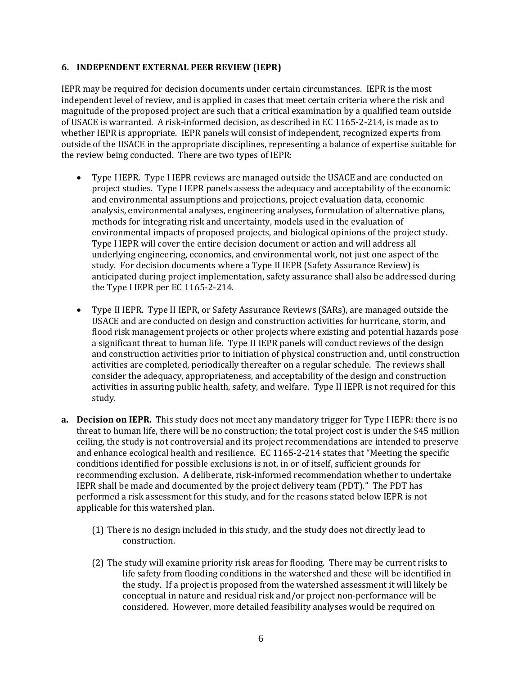#### <span id="page-7-0"></span> **6. INDEPENDENT EXTERNAL PEER REVIEW (IEPR)**

independent level of review, and is applied in cases that meet certain criteria where the risk and outside of the USACE in the appropriate disciplines, representing a balance of expertise suitable for the review being conducted. There are two types of IEPR: magnitude of the proposed project are such that a critical examination by a qualified team outside of USACE is warranted. A risk-informed decision, as described in EC 1165-2-214, is made as to IEPR may be required for decision documents under certain circumstances. IEPR is the most whether IEPR is appropriate. IEPR panels will consist of independent, recognized experts from

- project studies. Type I IEPR panels assess the adequacy and acceptability of the economic study. For decision documents where a Type II IEPR (Safety Assurance Review) is the Type I IEPR per EC 1165-2-214. Type I IEPR. Type I IEPR reviews are managed outside the USACE and are conducted on and environmental assumptions and projections, project evaluation data, economic analysis, environmental analyses, engineering analyses, formulation of alternative plans, methods for integrating risk and uncertainty, models used in the evaluation of environmental impacts of proposed projects, and biological opinions of the project study. Type I IEPR will cover the entire decision document or action and will address all underlying engineering, economics, and environmental work, not just one aspect of the anticipated during project implementation, safety assurance shall also be addressed during
- flood risk management projects or other projects where existing and potential hazards pose a significant threat to human life. Type II IEPR panels will conduct reviews of the design activities are completed, periodically thereafter on a regular schedule. The reviews shall activities in assuring public health, safety, and welfare. Type II IEPR is not required for this Type II IEPR. Type II IEPR, or Safety Assurance Reviews (SARs), are managed outside the USACE and are conducted on design and construction activities for hurricane, storm, and and construction activities prior to initiation of physical construction and, until construction consider the adequacy, appropriateness, and acceptability of the design and construction study.
- **a.** Decision on IEPR. This study does not meet any mandatory trigger for Type I IEPR: there is no performed a risk assessment for this study, and for the reasons stated below IEPR is not ceiling, the study is not controversial and its project recommendations are intended to preserve and enhance ecological health and resilience. EC 1165-2-214 states that "Meeting the specific conditions identified for possible exclusions is not, in or of itself, sufficient grounds for recommending exclusion. A deliberate, risk-informed recommendation whether to undertake threat to human life, there will be no construction; the total project cost is under the \$45 million IEPR shall be made and documented by the project delivery team (PDT)." The PDT has applicable for this watershed plan.
	- (1) There is no design included in this study, and the study does not directly lead to construction.
	- conceptual in nature and residual risk and/or project non-performance will be (2) The study will examine priority risk areas for flooding. There may be current risks to the study. If a project is proposed from the watershed assessment it will likely be considered. However, more detailed feasibility analyses would be required on life safety from flooding conditions in the watershed and these will be identified in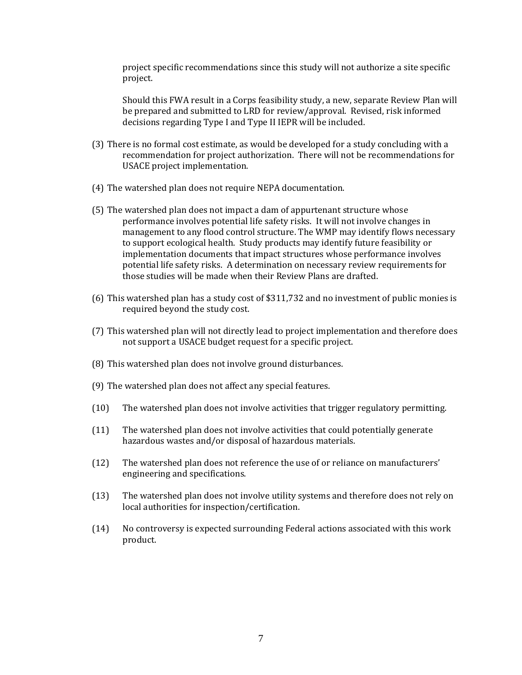project specific recommendations since this study will not authorize a site specific project. 

be prepared and submitted to LRD for review/approval. Revised, risk informed Should this FWA result in a Corps feasibility study, a new, separate Review Plan will decisions regarding Type I and Type II IEPR will be included.

- (3) There is no formal cost estimate, as would be developed for a study concluding with a recommendation for project authorization. There will not be recommendations for USACE project implementation.
- (4) The watershed plan does not require NEPA documentation.
- those studies will be made when their Review Plans are drafted. (5) The watershed plan does not impact a dam of appurtenant structure whose performance involves potential life safety risks. It will not involve changes in management to any flood control structure. The WMP may identify flows necessary to support ecological health. Study products may identify future feasibility or implementation documents that impact structures whose performance involves potential life safety risks. A determination on necessary review requirements for
- (6) This watershed plan has a study cost of \$311,732 and no investment of public monies is required beyond the study cost.
- not support a USACE budget request for a specific project. (7) This watershed plan will not directly lead to project implementation and therefore does
- (8) This watershed plan does not involve ground disturbances.
- (9) The watershed plan does not affect any special features.
- (10) The watershed plan does not involve activities that trigger regulatory permitting.
- (11) The watershed plan does not involve activities that could potentially generate hazardous wastes and/or disposal of hazardous materials.
- (12) The watershed plan does not reference the use of or reliance on manufacturers' engineering and specifications.
- (13) The watershed plan does not involve utility systems and therefore does not rely on local authorities for inspection/certification.
- (14) No controversy is expected surrounding Federal actions associated with this work product.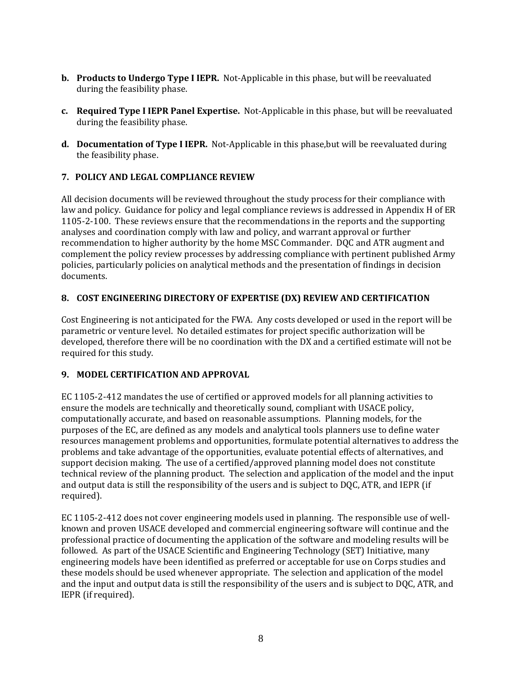- <span id="page-9-0"></span>**b.** Products to Undergo Type I IEPR. Not-Applicable in this phase, but will be reevaluated during the feasibility phase.
- **c.** Required Type I IEPR Panel Expertise. Not-Applicable in this phase, but will be reevaluated during the feasibility phase.
- **d.** Documentation of Type I IEPR. Not-Applicable in this phase,but will be reevaluated during the feasibility phase.

#### **7.POLICY AND LEGAL COMPLIANCE REVIEW**

All decision documents will be reviewed throughout the study process for their compliance with law and policy. Guidance for policy and legal compliance reviews is addressed in Appendix H of ER 1105-2-100. These reviews ensure that the recommendations in the reports and the supporting analyses and coordination comply with law and policy, and warrant approval or further recommendation to higher authority by the home MSC Commander. DQC and ATR augment and complement the policy review processes by addressing compliance with pertinent published Army policies, particularly policies on analytical methods and the presentation of findings in decision documents.

#### **8.COST ENGINEERING DIRECTORY OF EXPERTISE (DX) REVIEW AND CERTIFICATION**

Cost Engineering is not anticipated for the FWA. Any costs developed or used in the report will be parametric or venture level. No detailed estimates for project specific authorization will be developed, therefore there will be no coordination with the DX and a certified estimate will not be required for this study.

#### **9. MODEL CERTIFICATION AND APPROVAL**

purposes of the EC, are defined as any models and analytical tools planners use to define water EC 1105-2-412 mandates the use of certified or approved models for all planning activities to problems and take advantage of the opportunities, evaluate potential effects of alternatives, and support decision making. The use of a certified/approved planning model does not constitute technical review of the planning product. The selection and application of the model and the input and output data is still the responsibility of the users and is subject to DQC, ATR, and IEPR (if ensure the models are technically and theoretically sound, compliant with USACE policy, computationally accurate, and based on reasonable assumptions. Planning models, for the resources management problems and opportunities, formulate potential alternatives to address the required). 

EC 1105-2-412 does not cover engineering models used in planning. The responsible use of wellknown and proven USACE developed and commercial engineering software will continue and the professional practice of documenting the application of the software and modeling results will be followed. As part of the USACE Scientific and Engineering Technology (SET) Initiative, many engineering models have been identified as preferred or acceptable for use on Corps studies and and the input and output data is still the responsibility of the users and is subject to DQC, ATR, and IEPR (if required). these models should be used whenever appropriate. The selection and application of the model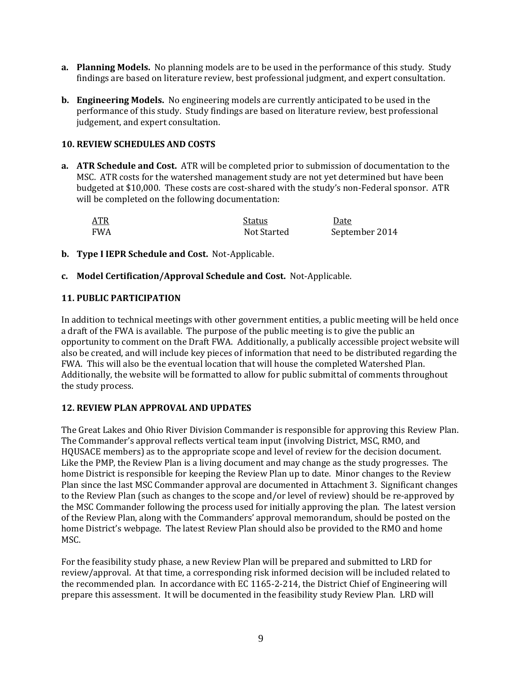- a. Planning Models. No planning models are to be used in the performance of this study. Study findings are based on literature review, best professional judgment, and expert consultation.
- **b.** Engineering Models. No engineering models are currently anticipated to be used in the performance of this study. Study findings are based on literature review, best professional judgement, and expert consultation.

#### **10. REVIEW SCHEDULES AND COSTS**

**a.** ATR Schedule and Cost. ATR will be completed prior to submission of documentation to the MSC. ATR costs for the watershed management study are not yet determined but have been will be completed on the following documentation: budgeted at \$10,000. These costs are cost-shared with the study's non-Federal sponsor. ATR

| <b>ATR</b> | Status      | Date           |
|------------|-------------|----------------|
| FWA        | Not Started | September 2014 |

- **b. Type I IEPR Schedule and Cost.** Not‐Applicable.
- **c. Model Certification/Approval Schedule and Cost.** Not‐Applicable.

#### **11. PUBLIC PARTICIPATION**

a draft of the FWA is available. The purpose of the public meeting is to give the public an also be created, and will include key pieces of information that need to be distributed regarding the FWA. This will also be the eventual location that will house the completed Watershed Plan. In addition to technical meetings with other government entities, a public meeting will be held once opportunity to comment on the Draft FWA. Additionally, a publically accessible project website will Additionally, the website will be formatted to allow for public submittal of comments throughout the study process.

#### **12. REVIEW PLAN APPROVAL AND UPDATES**

The Great Lakes and Ohio River Division Commander is responsible for approving this Review Plan. Like the PMP, the Review Plan is a living document and may change as the study progresses. The home District is responsible for keeping the Review Plan up to date. Minor changes to the Review Plan since the last MSC Commander approval are documented in Attachment 3. Significant changes to the Review Plan (such as changes to the scope and/or level of review) should be re-approved by home District's webpage. The latest Review Plan should also be provided to the RMO and home The Commander's approval reflects vertical team input (involving District, MSC, RMO, and HOUSACE members) as to the appropriate scope and level of review for the decision document. the MSC Commander following the process used for initially approving the plan. The latest version of the Review Plan, along with the Commanders' approval memorandum, should be posted on the MSC. 

For the feasibility study phase, a new Review Plan will be prepared and submitted to LRD for the recommended plan. In accordance with EC 1165-2-214, the District Chief of Engineering will review/approval. At that time, a corresponding risk informed decision will be included related to prepare this assessment. It will be documented in the feasibility study Review Plan. LRD will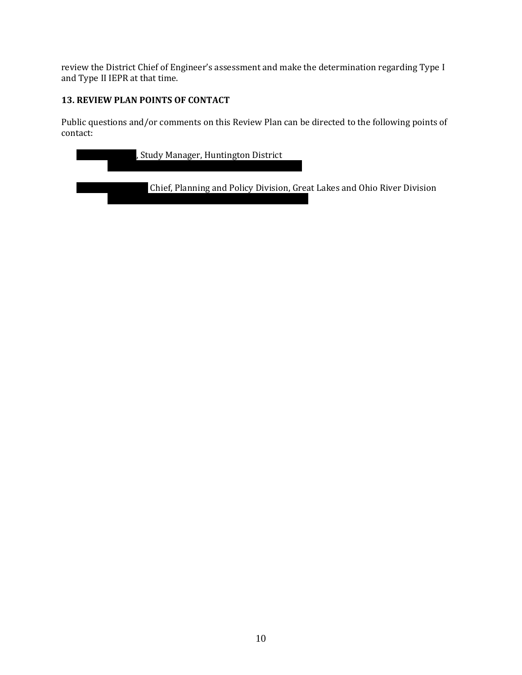<span id="page-11-0"></span>review the District Chief of Engineer's assessment and make the determination regarding Type I and Type II IEPR at that time.

#### **13. REVIEW PLAN POINTS OF CONTACT**

Public questions and/or comments on this Review Plan can be directed to the following points of contact: 

| , Study Manager, Huntington District                                     |
|--------------------------------------------------------------------------|
| Chief, Planning and Policy Division, Great Lakes and Ohio River Division |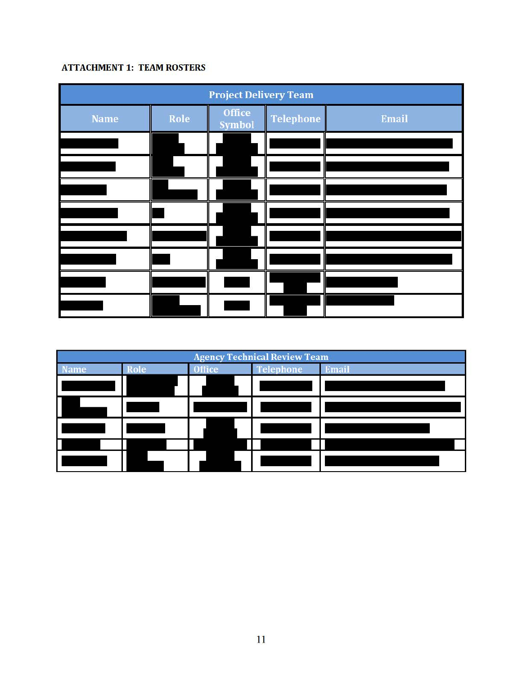#### **ATTACHMENT 1: TEAM ROSTERS**

| <b>Project Delivery Team</b> |      |                  |                  |       |
|------------------------------|------|------------------|------------------|-------|
| <b>Name</b>                  | Role | Office<br>Symbol | <b>Telephone</b> | Email |
|                              |      |                  |                  |       |
|                              |      |                  |                  |       |
|                              |      |                  |                  |       |
|                              |      |                  |                  |       |
|                              |      |                  |                  |       |
|                              |      |                  |                  |       |
|                              |      |                  |                  |       |
|                              |      |                  |                  |       |

| <b>Agency Technical Review Team</b> |      |               |                  |       |
|-------------------------------------|------|---------------|------------------|-------|
| <b>Name</b>                         | Role | <b>Office</b> | <b>Telephone</b> | Email |
|                                     |      |               |                  |       |
|                                     |      |               |                  |       |
|                                     |      |               |                  |       |
|                                     |      |               |                  |       |
|                                     |      |               |                  |       |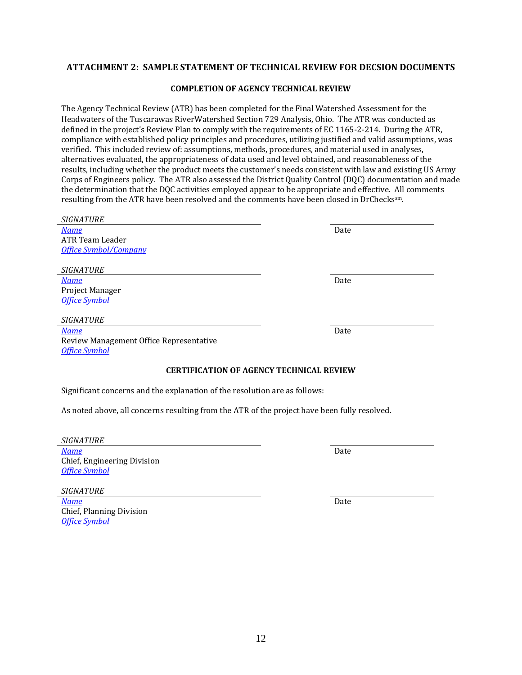## ATTACHMENT 2: SAMPLE STATEMENT OF TECHNICAL REVIEW FOR DECSION DOCUMENTS<br>COMPLETION OF AGENCY TECHNICAL REVIEW

#### **OF AGENCY TECHNICAL REVIEW**

Corps of Engineers policy. The ATR also assessed the District Quality Control (DQC) documentation and made Headwaters of the Tuscarawas RiverWatershed Section 729 Analysis, Ohio. The ATR was conducted as defined in the project's Review Plan to comply with the requirements of EC 1165-2-214. During the ATR, compliance with established policy principles and procedures, utilizing justified and valid assumptions, was alternatives evaluated, the appropriateness of data used and level obtained, and reasonableness of the results, including whether the product meets the customer's needs consistent with law and existing US Army the determination that the DQC activities employed appear to be appropriate and effective. All comments resulting from the ATR have been resolved and the comments have been closed in DrCheckssm. The Agency Technical Review (ATR) has been completed for the Final Watershed Assessment for the verified. This included review of: assumptions, methods, procedures, and material used in analyses,

| <i><b>SIGNATUKE</b></i>                                                                      |      |  |  |  |
|----------------------------------------------------------------------------------------------|------|--|--|--|
| <b>Name</b>                                                                                  | Date |  |  |  |
| ATR Team Leader                                                                              |      |  |  |  |
| <b>Office Symbol/Company</b>                                                                 |      |  |  |  |
|                                                                                              |      |  |  |  |
| <b>SIGNATURE</b>                                                                             |      |  |  |  |
| <b>Name</b>                                                                                  | Date |  |  |  |
| Project Manager                                                                              |      |  |  |  |
| <b>Office Symbol</b>                                                                         |      |  |  |  |
|                                                                                              |      |  |  |  |
| <b>SIGNATURE</b>                                                                             |      |  |  |  |
| <b>Name</b>                                                                                  | Date |  |  |  |
| Review Management Office Representative                                                      |      |  |  |  |
| <b>Office Symbol</b>                                                                         |      |  |  |  |
|                                                                                              |      |  |  |  |
| <b>CERTIFICATION OF AGENCY TECHNICAL REVIEW</b>                                              |      |  |  |  |
| Significant concerns and the explanation of the resolution are as follows:                   |      |  |  |  |
| As noted above, all concerns resulting from the ATR of the project have been fully resolved. |      |  |  |  |
|                                                                                              |      |  |  |  |
|                                                                                              |      |  |  |  |
| <b>SIGNATURE</b>                                                                             |      |  |  |  |
| <b>Name</b>                                                                                  | Date |  |  |  |
|                                                                                              |      |  |  |  |
| Chief, Engineering Division                                                                  |      |  |  |  |
| <b>Office Symbol</b>                                                                         |      |  |  |  |
| <b>SIGNATURE</b>                                                                             |      |  |  |  |

Chief, Planning Division

*Office Symbol*

*SIGNATURE*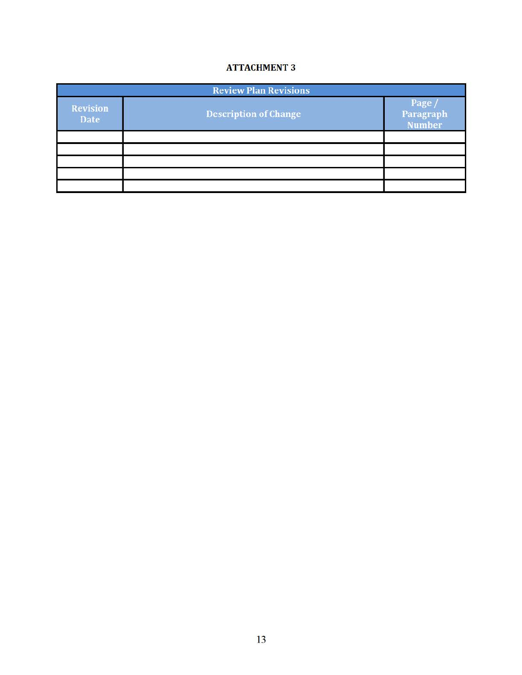#### **ATTACHMENT 3**

| <b>Review Plan Revisions</b> |                              |                               |  |  |
|------------------------------|------------------------------|-------------------------------|--|--|
| <b>Revision</b><br>Date      | <b>Description of Change</b> | Page /<br>Paragraph<br>Number |  |  |
|                              |                              |                               |  |  |
|                              |                              |                               |  |  |
|                              |                              |                               |  |  |
|                              |                              |                               |  |  |
|                              |                              |                               |  |  |